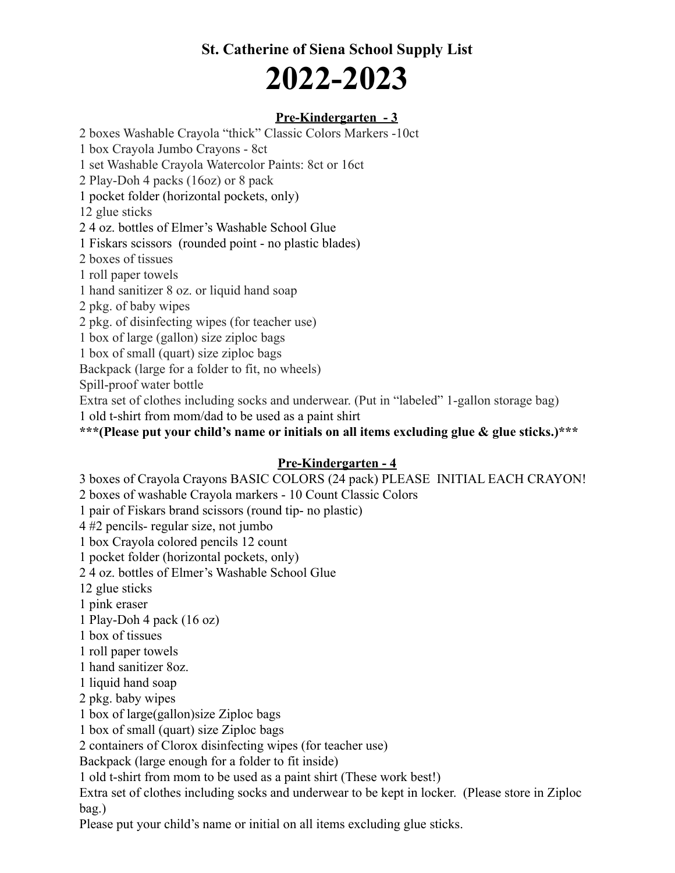# **St. Catherine of Siena School Supply List 2022-2023**

### **Pre-Kindergarten - 3**

2 boxes Washable Crayola "thick" Classic Colors Markers -10ct

1 box Crayola Jumbo Crayons - 8ct

1 set Washable Crayola Watercolor Paints: 8ct or 16ct

2 Play-Doh 4 packs (16oz) or 8 pack

1 pocket folder (horizontal pockets, only)

12 glue sticks

2 4 oz. bottles of Elmer's Washable School Glue

1 Fiskars scissors (rounded point - no plastic blades)

2 boxes of tissues

1 roll paper towels

1 hand sanitizer 8 oz. or liquid hand soap

2 pkg. of baby wipes

2 pkg. of disinfecting wipes (for teacher use)

1 box of large (gallon) size ziploc bags

1 box of small (quart) size ziploc bags

Backpack (large for a folder to fit, no wheels)

Spill-proof water bottle

Extra set of clothes including socks and underwear. (Put in "labeled" 1-gallon storage bag)

1 old t-shirt from mom/dad to be used as a paint shirt

**\*\*\*(Please put your child's name or initials on all items excluding glue & glue sticks.)\*\*\***

#### **Pre-Kindergarten - 4**

3 boxes of Crayola Crayons BASIC COLORS (24 pack) PLEASE INITIAL EACH CRAYON!

2 boxes of washable Crayola markers - 10 Count Classic Colors

1 pair of Fiskars brand scissors (round tip- no plastic)

4 #2 pencils- regular size, not jumbo

1 box Crayola colored pencils 12 count

1 pocket folder (horizontal pockets, only)

2 4 oz. bottles of Elmer's Washable School Glue

12 glue sticks

1 pink eraser

1 Play-Doh 4 pack (16 oz)

1 box of tissues

1 roll paper towels

1 hand sanitizer 8oz.

1 liquid hand soap

2 pkg. baby wipes

1 box of large(gallon)size Ziploc bags

1 box of small (quart) size Ziploc bags

2 containers of Clorox disinfecting wipes (for teacher use)

Backpack (large enough for a folder to fit inside)

1 old t-shirt from mom to be used as a paint shirt (These work best!)

Extra set of clothes including socks and underwear to be kept in locker. (Please store in Ziploc bag.)

Please put your child's name or initial on all items excluding glue sticks.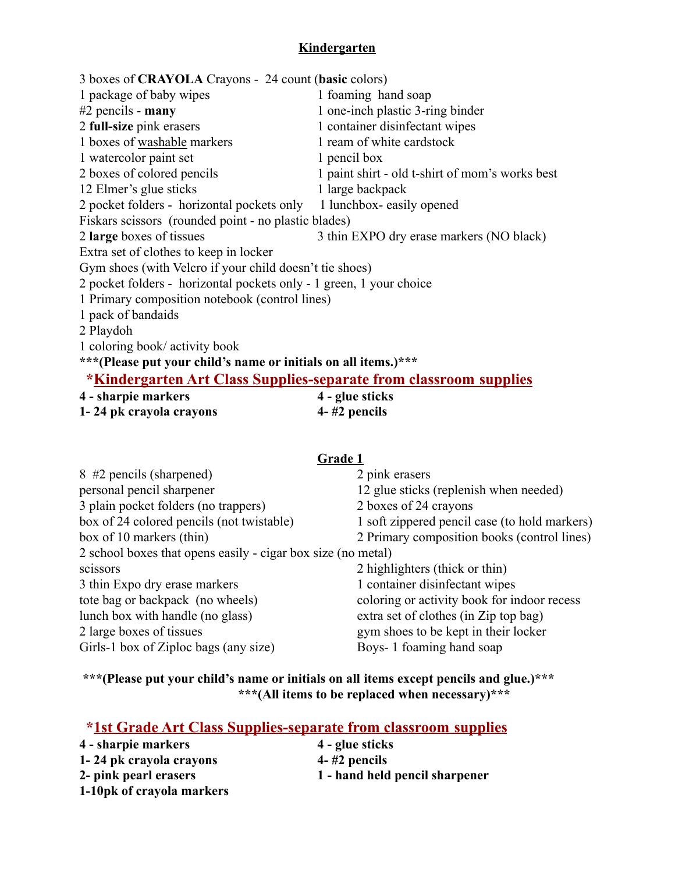# **Kindergarten**

| 3 boxes of <b>CRAYOLA</b> Crayons - 24 count (basic colors)              |                                                 |  |
|--------------------------------------------------------------------------|-------------------------------------------------|--|
| 1 package of baby wipes                                                  | 1 foaming hand soap                             |  |
| $#2$ pencils - many                                                      | 1 one-inch plastic 3-ring binder                |  |
| 2 full-size pink erasers                                                 | 1 container disinfectant wipes                  |  |
| 1 boxes of washable markers                                              | 1 ream of white cardstock                       |  |
| 1 watercolor paint set                                                   | 1 pencil box                                    |  |
| 2 boxes of colored pencils                                               | 1 paint shirt - old t-shirt of mom's works best |  |
| 12 Elmer's glue sticks                                                   | 1 large backpack                                |  |
| 2 pocket folders - horizontal pockets only 1 lunchbox-easily opened      |                                                 |  |
| Fiskars scissors (rounded point - no plastic blades)                     |                                                 |  |
| 2 large boxes of tissues                                                 | 3 thin EXPO dry erase markers (NO black)        |  |
| Extra set of clothes to keep in locker                                   |                                                 |  |
| Gym shoes (with Velcro if your child doesn't tie shoes)                  |                                                 |  |
| 2 pocket folders - horizontal pockets only - 1 green, 1 your choice      |                                                 |  |
| 1 Primary composition notebook (control lines)                           |                                                 |  |
| 1 pack of bandaids                                                       |                                                 |  |
| 2 Playdoh                                                                |                                                 |  |
| 1 coloring book/ activity book                                           |                                                 |  |
| ***(Please put your child's name or initials on all items.)***           |                                                 |  |
| <b>*Kindergarten Art Class Supplies-separate from classroom supplies</b> |                                                 |  |
| 4 - sharnje markers                                                      | $\boldsymbol{A}$ – alue sticks                  |  |

**4 - sharpie markers 4 - glue sticks 1- 24 pk crayola crayons 4- #2 pencils**

#### **Grade 1**

| 8 #2 pencils (sharpened)                                     | 2 pink erasers                                |
|--------------------------------------------------------------|-----------------------------------------------|
| personal pencil sharpener                                    | 12 glue sticks (replenish when needed)        |
| 3 plain pocket folders (no trappers)                         | 2 boxes of 24 crayons                         |
| box of 24 colored pencils (not twistable)                    | 1 soft zippered pencil case (to hold markers) |
| box of 10 markers (thin)                                     | 2 Primary composition books (control lines)   |
| 2 school boxes that opens easily - cigar box size (no metal) |                                               |
| scissors                                                     | 2 highlighters (thick or thin)                |
| 3 thin Expo dry erase markers                                | 1 container disinfectant wipes                |
| tote bag or backpack (no wheels)                             | coloring or activity book for indoor recess   |
| lunch box with handle (no glass)                             | extra set of clothes (in Zip top bag)         |
| 2 large boxes of tissues                                     | gym shoes to be kept in their locker          |
| Girls-1 box of Ziploc bags (any size)                        | Boys-1 foaming hand soap                      |
|                                                              |                                               |

# **\*\*\*(Please put your child's name or initials on all items except pencils and glue.)\*\*\* \*\*\*(All items to be replaced when necessary)\*\*\***

# **\*1st Grade Art Class Supplies-separate from classroom supplies**

| 4 - sharpie markers       | 4 - glue sticks                |
|---------------------------|--------------------------------|
| 1-24 pk crayola crayons   | $4-$ #2 pencils                |
| 2- pink pearl erasers     | 1 - hand held pencil sharpener |
| 1-10pk of crayola markers |                                |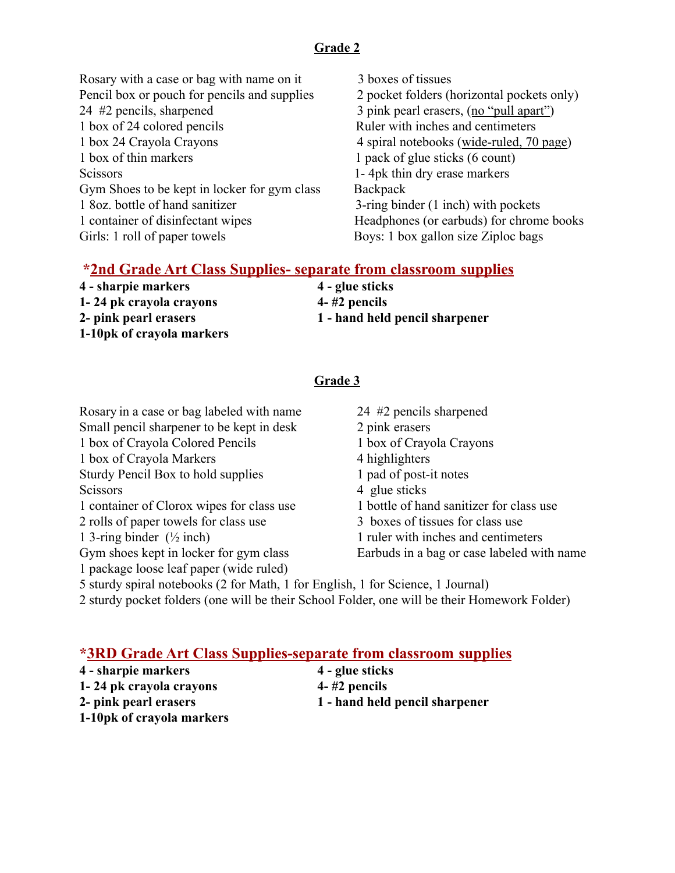### **Grade 2**

- Rosary with a case or bag with name on it 3 boxes of tissues Pencil box or pouch for pencils and supplies 2 pocket folders (horizontal pockets only) 24 #2 pencils, sharpened 3 pink pearl erasers, (no "pull apart") 1 box of 24 colored pencils Ruler with inches and centimeters 1 box 24 Crayola Crayons 4 spiral notebooks (wide-ruled, 70 page) 1 box of thin markers 1 pack of glue sticks (6 count) Scissors 1- 4pk thin dry erase markers Gym Shoes to be kept in locker for gym class Backpack 1 8oz. bottle of hand sanitizer 3-ring binder (1 inch) with pockets 1 container of disinfectant wipes Headphones (or earbuds) for chrome books Girls: 1 roll of paper towels Boys: 1 box gallon size Ziploc bags
	-

#### **\*2nd Grade Art Class Supplies- separate from classroom supplies**

| 4 - sharpie markers       | 4 - glue sticks                |
|---------------------------|--------------------------------|
| 1-24 pk crayola crayons   | $4-$ #2 pencils                |
| 2- pink pearl erasers     | 1 - hand held pencil sharpener |
| 1-10pk of crayola markers |                                |

#### **Grade 3**

Rosary in a case or bag labeled with name 24 #2 pencils sharpened Small pencil sharpener to be kept in desk 2 pink erasers 1 box of Crayola Colored Pencils 1 box of Crayola Crayons 1 box of Crayola Markers 4 highlighters<br>
1 pad of post-it notes<br>
1 pad of post-it notes Sturdy Pencil Box to hold supplies Scissors 4 glue sticks 1 container of Clorox wipes for class use 1 bottle of hand sanitizer for class use 2 rolls of paper towels for class use 3 boxes of tissues for class use 1 3-ring binder (½ inch) 1 ruler with inches and centimeters Gym shoes kept in locker for gym class Earbuds in a bag or case labeled with name 1 package loose leaf paper (wide ruled) 5 sturdy spiral notebooks (2 for Math, 1 for English, 1 for Science, 1 Journal)

2 sturdy pocket folders (one will be their School Folder, one will be their Homework Folder)

# **\*3RD Grade Art Class Supplies-separate from classroom supplies**

- **4 sharpie markers 4 glue sticks 1- 24 pk crayola crayons 4- #2 pencils**
	-
- 
- **1-10pk of crayola markers**
- **2- pink pearl erasers 1 hand held pencil sharpener**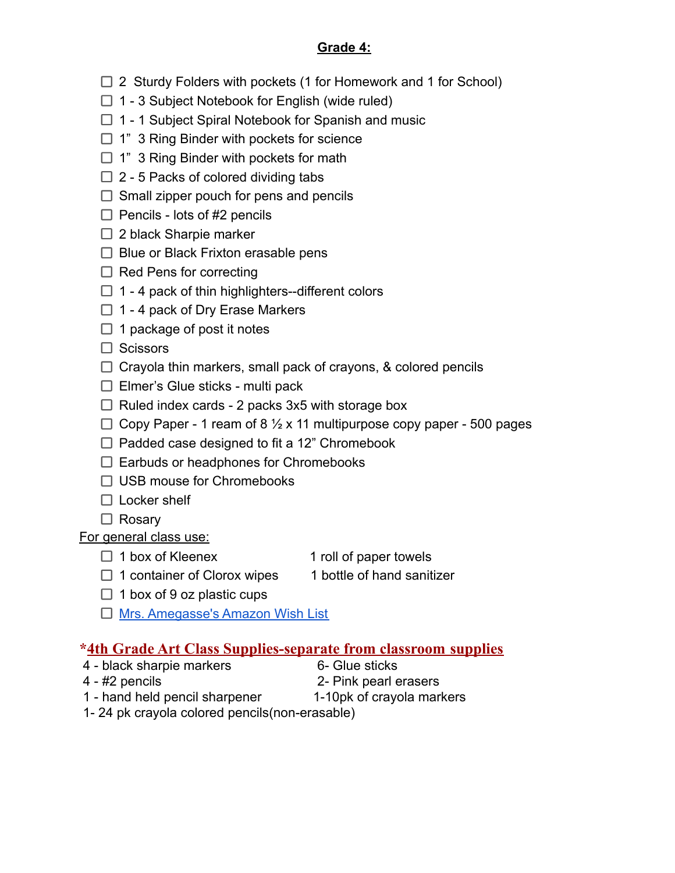# **Grade 4:**

- $\Box$  2 Sturdy Folders with pockets (1 for Homework and 1 for School)
- $\Box$  1 3 Subject Notebook for English (wide ruled)
- $\Box$  1 1 Subject Spiral Notebook for Spanish and music
- $\Box$  1" 3 Ring Binder with pockets for science
- $\Box$  1" 3 Ring Binder with pockets for math
- $\Box$  2 5 Packs of colored dividing tabs
- $\Box$  Small zipper pouch for pens and pencils
- $\Box$  Pencils lots of #2 pencils
- $\Box$  2 black Sharpie marker
- $\Box$  Blue or Black Frixton erasable pens
- $\Box$  Red Pens for correcting
- $\Box$  1 4 pack of thin highlighters--different colors
- $\Box$  1 4 pack of Dry Erase Markers
- $\Box$  1 package of post it notes
- $\Box$  Scissors
- $\Box$  Crayola thin markers, small pack of crayons, & colored pencils
- $\Box$  Elmer's Glue sticks multi pack
- $\Box$  Ruled index cards 2 packs 3x5 with storage box
- $\Box$  Copy Paper 1 ream of 8  $\frac{1}{2}$  x 11 multipurpose copy paper 500 pages
- $\Box$  Padded case designed to fit a 12" Chromebook
- $\Box$  Earbuds or headphones for Chromebooks
- □ USB mouse for Chromebooks
- $\Box$  Locker shelf
- $\Box$  Rosary

For general class use:

- 
- $\Box$  1 box of Kleenex 1 roll of paper towels
- $\Box$  1 container of Clorox wipes 1 bottle of hand sanitizer
- 
- $\Box$  1 box of 9 oz plastic cups
- □ [Mrs. Amegasse's Amazon Wish List](https://www.amazon.com/hz/wishlist/ls/2F02SJJ5TF18P?ref_=wl_share)

# **\*4th Grade Art Class Supplies-separate from classroom supplies**

- 4 black sharpie markers 6- Glue sticks
- 
- 
- 4 #2 pencils 2- Pink pearl erasers
- -
- 1 hand held pencil sharpener 1-10pk of crayola markers
- 
- 1- 24 pk crayola colored pencils(non-erasable)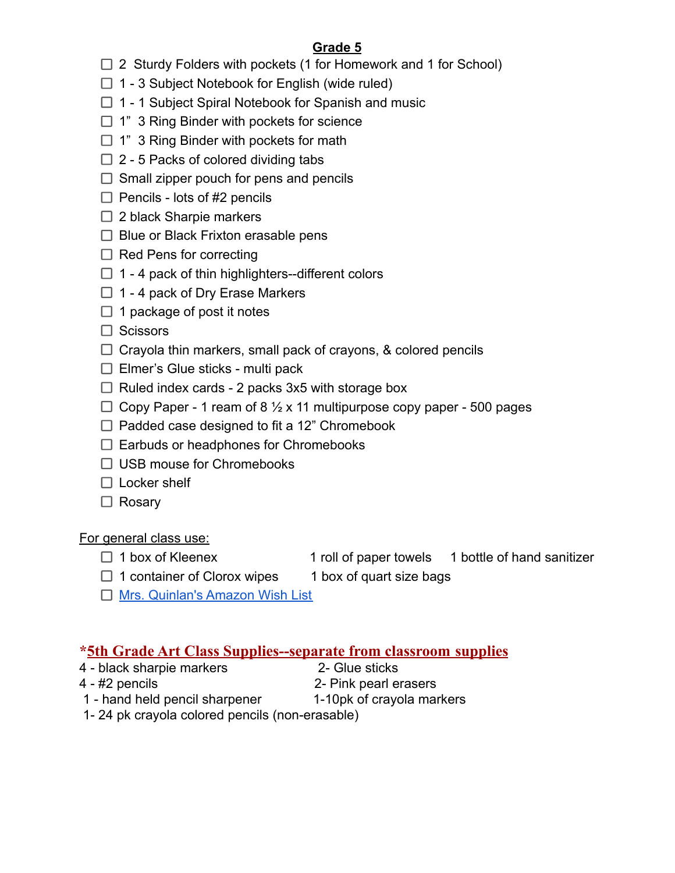# **Grade 5**

- $\Box$  2 Sturdy Folders with pockets (1 for Homework and 1 for School)
- $\Box$  1 3 Subject Notebook for English (wide ruled)
- $\Box$  1 1 Subject Spiral Notebook for Spanish and music
- $\Box$  1" 3 Ring Binder with pockets for science
- $\Box$  1" 3 Ring Binder with pockets for math
- $\Box$  2 5 Packs of colored dividing tabs
- $\Box$  Small zipper pouch for pens and pencils
- $\Box$  Pencils lots of #2 pencils
- $\Box$  2 black Sharpie markers
- $\Box$  Blue or Black Frixton erasable pens
- $\Box$  Red Pens for correcting
- $\Box$  1 4 pack of thin highlighters--different colors
- $\Box$  1 4 pack of Dry Erase Markers
- $\Box$  1 package of post it notes
- $\Box$  Scissors
- $\Box$  Crayola thin markers, small pack of crayons, & colored pencils
- $\Box$  Elmer's Glue sticks multi pack
- $\Box$  Ruled index cards 2 packs 3x5 with storage box
- $\Box$  Copy Paper 1 ream of 8  $\frac{1}{2}$  x 11 multipurpose copy paper 500 pages
- $\Box$  Padded case designed to fit a 12" Chromebook
- $\Box$  Earbuds or headphones for Chromebooks
- □ USB mouse for Chromebooks
- $\Box$  Locker shelf
- □ Rosary

For general class use:

- $\Box$  1 box of Kleenex 1 roll of paper towels 1 bottle of hand sanitizer
- $\Box$  1 container of Clorox wipes 1 box of quart size bags
	-
- □ [Mrs. Quinlan's Amazon Wish List](https://www.amazon.com/hz/wishlist/ls/2OVD374HMC39Q?ref_=wl_share)

# **\*5th Grade Art Class Supplies--separate from classroom supplies**

- 4 black sharpie markers 2- Glue sticks
	-
- 4 #2 pencils 2- Pink pearl erasers
- -
- 1 hand held pencil sharpener 1-10pk of crayola markers 1- 24 pk crayola colored pencils (non-erasable)